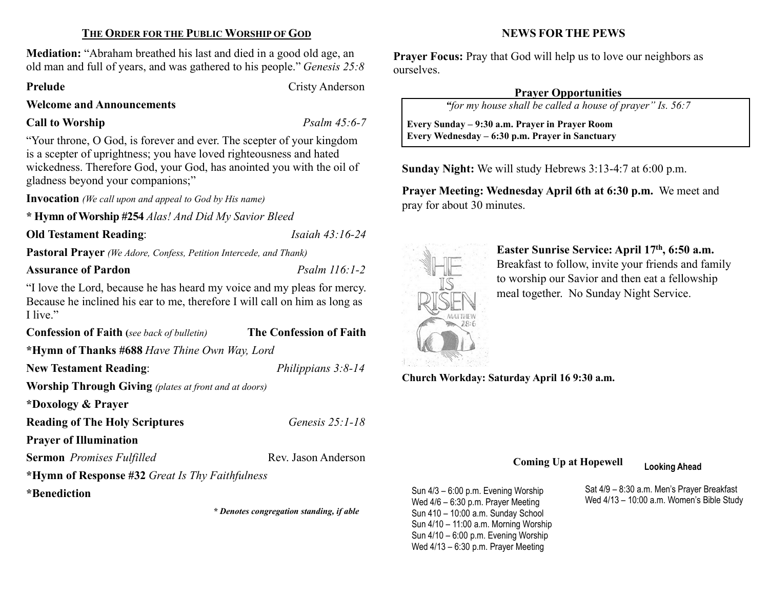# THE ORDER FOR THE PUBLIC WORSHIP OF GOD

Mediation: "Abraham breathed his last and died in a good old age, an old man and full of years, and was gathered to his people." Genesis 25:8

Prelude Cristy Anderson

### Welcome and Announcements

# Call to Worship Psalm 45:6-7

"Your throne, O God, is forever and ever. The scepter of your kingdom is a scepter of uprightness; you have loved righteousness and hated wickedness. Therefore God, your God, has anointed you with the oil of gladness beyond your companions;"

Invocation (We call upon and appeal to God by His name)

\* Hymn of Worship #254 Alas! And Did My Savior Bleed

# Old Testament Reading: *Isaiah 43:16-24*

Pastoral Prayer (We Adore, Confess, Petition Intercede, and Thank)

# Assurance of Pardon **Particle 116:1-2** *Psalm 116:1-2*

"I love the Lord, because he has heard my voice and my pleas for mercy. Because he inclined his ear to me, therefore I will call on him as long as I live."

Confession of Faith (see back of bulletin) The Confession of Faith

\*Hymn of Thanks #688 Have Thine Own Way, Lord

New Testament Reading: *Philippians 3:8-14* 

Worship Through Giving (plates at front and at doors)

\*Doxology & Prayer

Reading of The Holy Scriptures Genesis 25:1-18

Prayer of Illumination

Sermon Promises Fulfilled Rev. Jason Anderson

\*Hymn of Response #32 Great Is Thy Faithfulness

\*Benediction

\* Denotes congregation standing, if able

NEWS FOR THE PEWS

Prayer Focus: Pray that God will help us to love our neighbors as ourselves.

# Prayer Opportunities

"for my house shall be called a house of prayer" Is. 56:7

 Every Sunday – 9:30 a.m. Prayer in Prayer Room Every Wednesday – 6:30 p.m. Prayer in Sanctuary

Sunday Night: We will study Hebrews 3:13-4:7 at 6:00 p.m.

Prayer Meeting: Wednesday April 6th at 6:30 p.m. We meet and pray for about 30 minutes.



 $\overline{\phantom{a}}$ 

Easter Sunrise Service: April 17th, 6:50 a.m. Breakfast to follow, invite your friends and family to worship our Savior and then eat a fellowship

meal together. No Sunday Night Service.

Church Workday: Saturday April 16 9:30 a.m.

# Coming Up at Hopewell Looking Ahead

Sun 4/3 – 6:00 p.m. Evening Worship Wed 4/6 – 6:30 p.m. Prayer Meeting Sun 410 – 10:00 a.m. Sunday School Sun 4/10 – 11:00 a.m. Morning Worship Sun 4/10 – 6:00 p.m. Evening Worship Wed 4/13 – 6:30 p.m. Prayer Meeting

Sat 4/9 – 8:30 a.m. Men's Prayer Breakfast Wed 4/13 – 10:00 a.m. Women's Bible Study